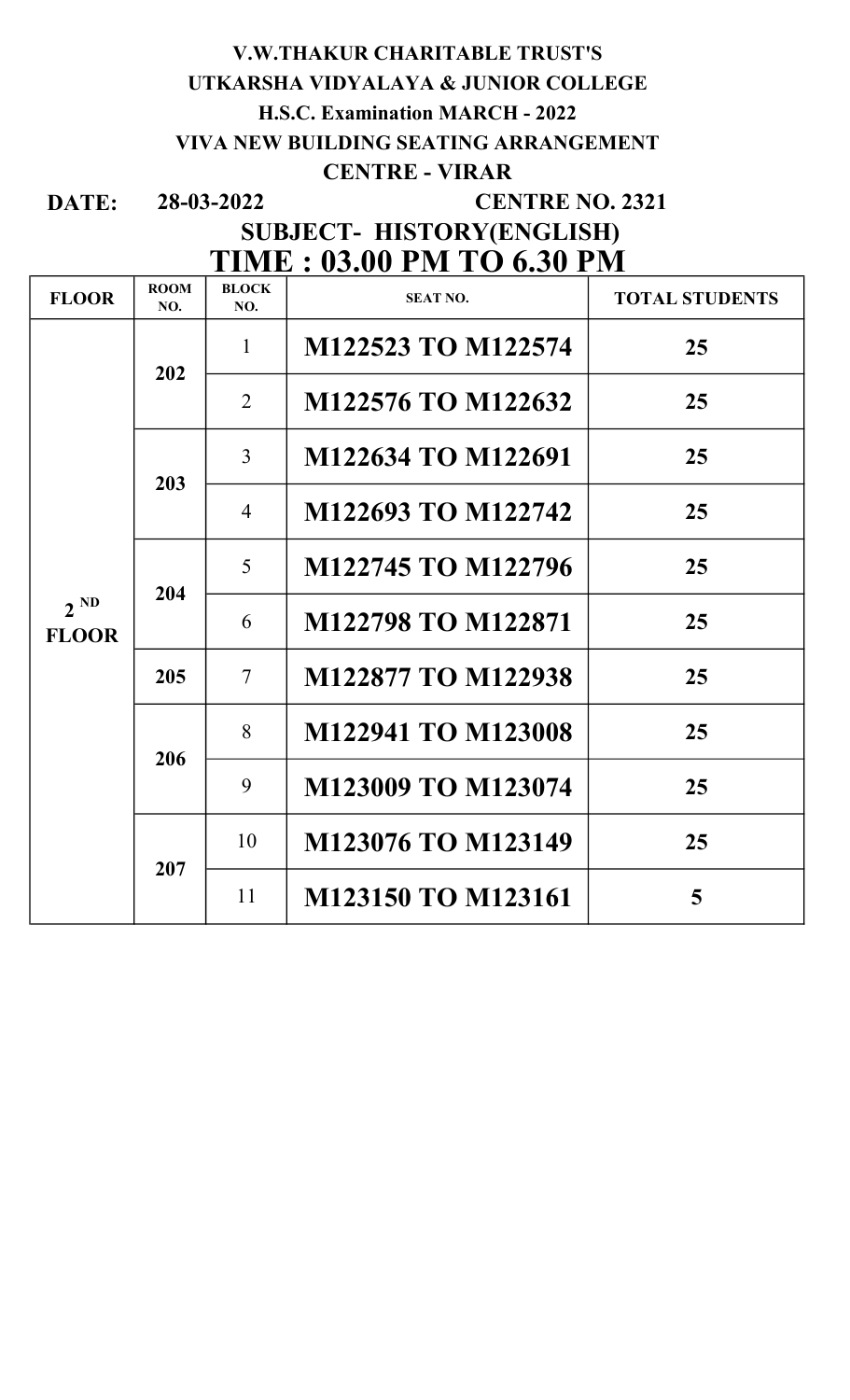## V.W.THAKUR CHARITABLE TRUST'S UTKARSHA VIDYALAYA & JUNIOR COLLEGE H.S.C. Examination MARCH - 2022 VIVA NEW BUILDING SEATING ARRANGEMENT CENTRE - VIRAR

DATE: 28-03-2022

### CENTRE NO. 2321

## SUBJECT- HISTORY(ENGLISH) TIME : 03.00 PM TO 6.30 PM

| <b>FLOOR</b>             | <b>ROOM</b><br>NO. | <b>BLOCK</b><br>NO. | <b>SEAT NO.</b>    | <b>TOTAL STUDENTS</b> |
|--------------------------|--------------------|---------------------|--------------------|-----------------------|
| $2^{ND}$<br><b>FLOOR</b> | 202                | $\mathbf{1}$        | M122523 TO M122574 | 25                    |
|                          |                    | 2                   | M122576 TO M122632 | 25                    |
|                          | 203                | $\overline{3}$      | M122634 TO M122691 | 25                    |
|                          |                    | $\overline{4}$      | M122693 TO M122742 | 25                    |
|                          | 204                | 5 <sup>5</sup>      | M122745 TO M122796 | 25                    |
|                          |                    | 6                   | M122798 TO M122871 | 25                    |
|                          | 205                | $\overline{7}$      | M122877 TO M122938 | 25                    |
|                          | 206                | 8                   | M122941 TO M123008 | 25                    |
|                          |                    | 9                   | M123009 TO M123074 | 25                    |
|                          | 207                | 10                  | M123076 TO M123149 | 25                    |
|                          |                    | 11                  | M123150 TO M123161 | 5                     |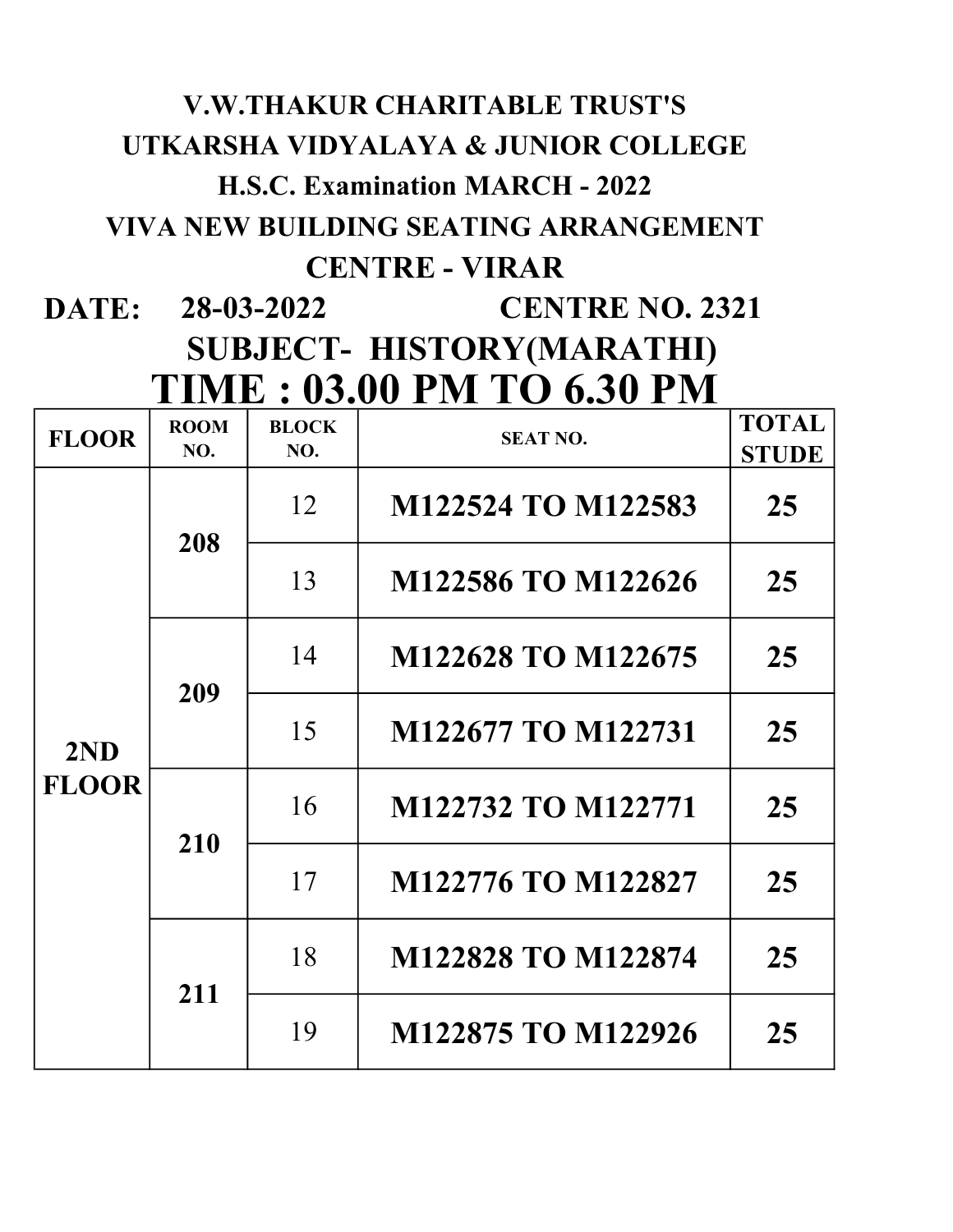# V.W.THAKUR CHARITABLE TRUST'S UTKARSHA VIDYALAYA & JUNIOR COLLEGE H.S.C. Examination MARCH - 2022 VIVA NEW BUILDING SEATING ARRANGEMENT CENTRE - VIRAR

DATE: 28-03-2022 SUBJECT- HISTORY(MARATHI) TIME : 03.00 PM TO 6.30 PM **CENTRE NO. 2321** 

| <b>FLOOR</b>        | <b>ROOM</b><br>NO. | <b>BLOCK</b><br>NO. | <b>SEAT NO.</b>    | <b>TOTAL</b><br><b>STUDE</b> |
|---------------------|--------------------|---------------------|--------------------|------------------------------|
| 2ND<br><b>FLOOR</b> | 208                | 12                  | M122524 TO M122583 | 25                           |
|                     |                    | 13                  | M122586 TO M122626 | 25                           |
|                     | 209                | 14                  | M122628 TO M122675 | 25                           |
|                     |                    | 15                  | M122677 TO M122731 | 25                           |
|                     | 210                | 16                  | M122732 TO M122771 | 25                           |
|                     |                    | 17                  | M122776 TO M122827 | 25                           |
|                     | 211                | 18                  | M122828 TO M122874 | 25                           |
|                     |                    | 19                  | M122875 TO M122926 | 25                           |